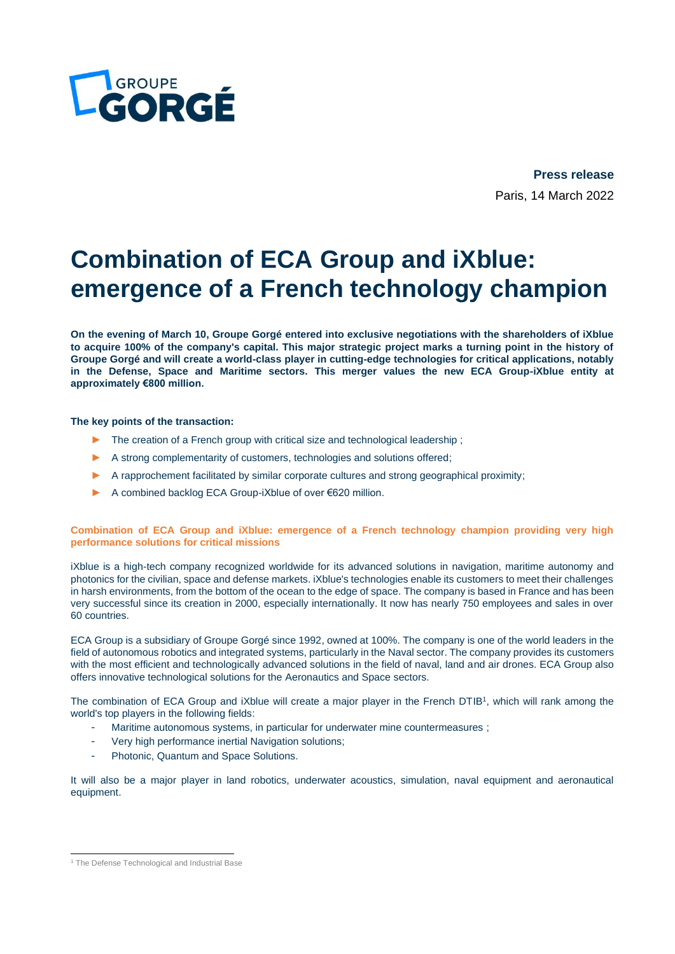

**Press release** Paris, 14 March 2022

# **Combination of ECA Group and iXblue: emergence of a French technology champion**

**On the evening of March 10, Groupe Gorgé entered into exclusive negotiations with the shareholders of iXblue to acquire 100% of the company's capital. This major strategic project marks a turning point in the history of Groupe Gorgé and will create a world-class player in cutting-edge technologies for critical applications, notably in the Defense, Space and Maritime sectors. This merger values the new ECA Group-iXblue entity at approximately €800 million.**

# **The key points of the transaction:**

- ► The creation of a French group with critical size and technological leadership ;
- ► A strong complementarity of customers, technologies and solutions offered;
- ► A rapprochement facilitated by similar corporate cultures and strong geographical proximity;
- A combined backlog ECA Group-iXblue of over €620 million.

**Combination of ECA Group and iXblue: emergence of a French technology champion providing very high performance solutions for critical missions**

iXblue is a high-tech company recognized worldwide for its advanced solutions in navigation, maritime autonomy and photonics for the civilian, space and defense markets. iXblue's technologies enable its customers to meet their challenges in harsh environments, from the bottom of the ocean to the edge of space. The company is based in France and has been very successful since its creation in 2000, especially internationally. It now has nearly 750 employees and sales in over 60 countries.

ECA Group is a subsidiary of Groupe Gorgé since 1992, owned at 100%. The company is one of the world leaders in the field of autonomous robotics and integrated systems, particularly in the Naval sector. The company provides its customers with the most efficient and technologically advanced solutions in the field of naval, land and air drones. ECA Group also offers innovative technological solutions for the Aeronautics and Space sectors.

The combination of ECA Group and iXblue will create a major player in the French DTIB<sup>1</sup>, which will rank among the world's top players in the following fields:

- Maritime autonomous systems, in particular for underwater mine countermeasures ;
- Very high performance inertial Navigation solutions:
- Photonic, Quantum and Space Solutions.

It will also be a major player in land robotics, underwater acoustics, simulation, naval equipment and aeronautical equipment.

<sup>&</sup>lt;sup>1</sup> The Defense Technological and Industrial Base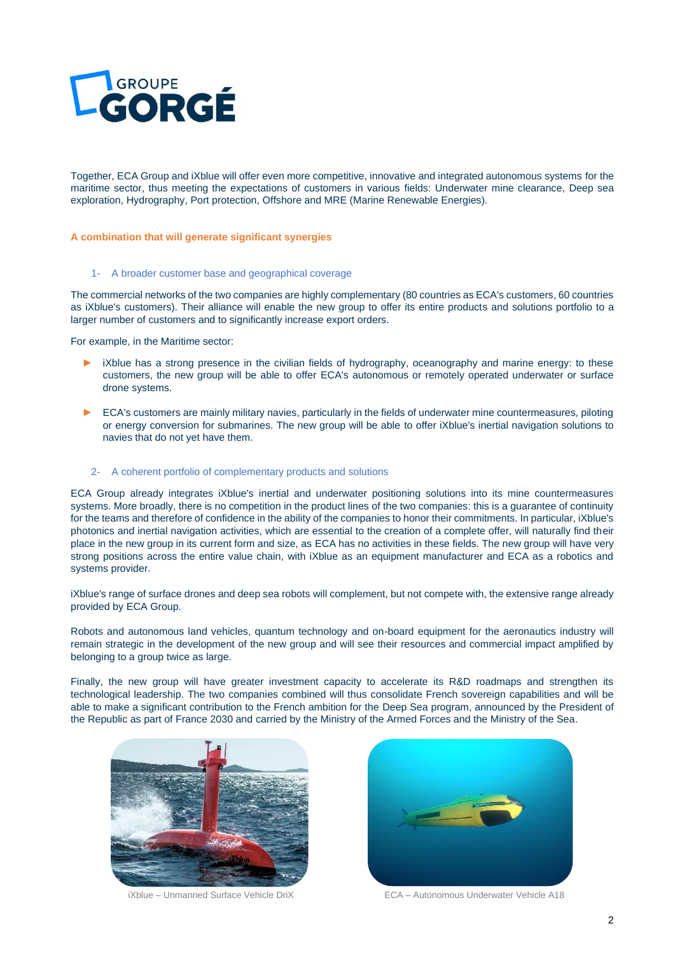

Together, ECA Group and iXblue will offer even more competitive, innovative and integrated autonomous systems for the maritime sector, thus meeting the expectations of customers in various fields: Underwater mine clearance, Deep sea exploration, Hydrography, Port protection, Offshore and MRE (Marine Renewable Energies).

### **A combination that will generate significant synergies**

#### 1- A broader customer base and geographical coverage

The commercial networks of the two companies are highly complementary (80 countries as ECA's customers, 60 countries as iXblue's customers). Their alliance will enable the new group to offer its entire products and solutions portfolio to a larger number of customers and to significantly increase export orders.

For example, in the Maritime sector:

- ► iXblue has a strong presence in the civilian fields of hydrography, oceanography and marine energy: to these customers, the new group will be able to offer ECA's autonomous or remotely operated underwater or surface drone systems.
- ► ECA's customers are mainly military navies, particularly in the fields of underwater mine countermeasures, piloting or energy conversion for submarines. The new group will be able to offer iXblue's inertial navigation solutions to navies that do not yet have them.

#### 2- A coherent portfolio of complementary products and solutions

ECA Group already integrates iXblue's inertial and underwater positioning solutions into its mine countermeasures systems. More broadly, there is no competition in the product lines of the two companies: this is a guarantee of continuity for the teams and therefore of confidence in the ability of the companies to honor their commitments. In particular, iXblue's photonics and inertial navigation activities, which are essential to the creation of a complete offer, will naturally find their place in the new group in its current form and size, as ECA has no activities in these fields. The new group will have very strong positions across the entire value chain, with iXblue as an equipment manufacturer and ECA as a robotics and systems provider.

iXblue's range of surface drones and deep sea robots will complement, but not compete with, the extensive range already provided by ECA Group.

Robots and autonomous land vehicles, quantum technology and on-board equipment for the aeronautics industry will remain strategic in the development of the new group and will see their resources and commercial impact amplified by belonging to a group twice as large.

Finally, the new group will have greater investment capacity to accelerate its R&D roadmaps and strengthen its technological leadership. The two companies combined will thus consolidate French sovereign capabilities and will be able to make a significant contribution to the French ambition for the Deep Sea program, announced by the President of the Republic as part of France 2030 and carried by the Ministry of the Armed Forces and the Ministry of the Sea.



iXblue – Unmanned Surface Vehicle DriX ECA – Autonomous Underwater Vehicle A18

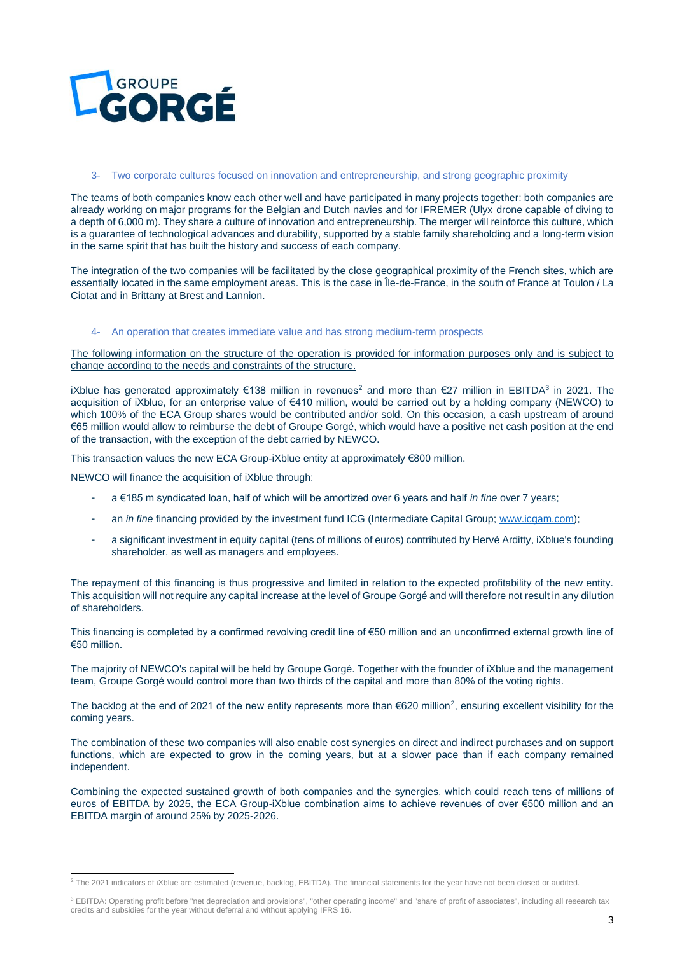

## 3- Two corporate cultures focused on innovation and entrepreneurship, and strong geographic proximity

The teams of both companies know each other well and have participated in many projects together: both companies are already working on major programs for the Belgian and Dutch navies and for IFREMER (Ulyx drone capable of diving to a depth of 6,000 m). They share a culture of innovation and entrepreneurship. The merger will reinforce this culture, which is a guarantee of technological advances and durability, supported by a stable family shareholding and a long-term vision in the same spirit that has built the history and success of each company.

The integration of the two companies will be facilitated by the close geographical proximity of the French sites, which are essentially located in the same employment areas. This is the case in Île-de-France, in the south of France at Toulon / La Ciotat and in Brittany at Brest and Lannion.

## 4- An operation that creates immediate value and has strong medium-term prospects

The following information on the structure of the operation is provided for information purposes only and is subject to change according to the needs and constraints of the structure.

iXblue has generated approximately €138 million in revenues<sup>2</sup> and more than €27 million in EBITDA<sup>3</sup> in 2021. The acquisition of iXblue, for an enterprise value of €410 million, would be carried out by a holding company (NEWCO) to which 100% of the ECA Group shares would be contributed and/or sold. On this occasion, a cash upstream of around €65 million would allow to reimburse the debt of Groupe Gorgé, which would have a positive net cash position at the end of the transaction, with the exception of the debt carried by NEWCO.

This transaction values the new ECA Group-iXblue entity at approximately  $\epsilon$ 800 million.

NEWCO will finance the acquisition of iXblue through:

- a €185 m syndicated loan, half of which will be amortized over 6 years and half *in fine* over 7 years;
- an *in fine* financing provided by the investment fund ICG (Intermediate Capital Group[; www.icgam.com\)](http://www.icgam.com/);
- a significant investment in equity capital (tens of millions of euros) contributed by Hervé Arditty, iXblue's founding shareholder, as well as managers and employees.

The repayment of this financing is thus progressive and limited in relation to the expected profitability of the new entity. This acquisition will not require any capital increase at the level of Groupe Gorgé and will therefore not result in any dilution of shareholders.

This financing is completed by a confirmed revolving credit line of €50 million and an unconfirmed external growth line of €50 million.

The majority of NEWCO's capital will be held by Groupe Gorgé. Together with the founder of iXblue and the management team, Groupe Gorgé would control more than two thirds of the capital and more than 80% of the voting rights.

The backlog at the end of 2021 of the new entity represents more than  $€620$  million<sup>2</sup>, ensuring excellent visibility for the coming years.

The combination of these two companies will also enable cost synergies on direct and indirect purchases and on support functions, which are expected to grow in the coming years, but at a slower pace than if each company remained independent.

Combining the expected sustained growth of both companies and the synergies, which could reach tens of millions of euros of EBITDA by 2025, the ECA Group-iXblue combination aims to achieve revenues of over €500 million and an EBITDA margin of around 25% by 2025-2026.

<sup>&</sup>lt;sup>2</sup> The 2021 indicators of iXblue are estimated (revenue, backlog, EBITDA). The financial statements for the year have not been closed or audited.

<sup>&</sup>lt;sup>3</sup> EBITDA: Operating profit before "net depreciation and provisions", "other operating income" and "share of profit of associates", including all research tax credits and subsidies for the year without deferral and without applying IFRS 16.